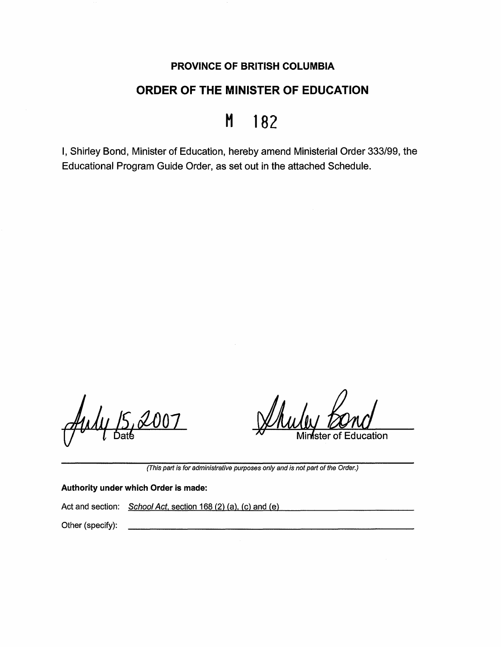# **PROVINCE OF BRITISH COLUMBIA**

# **ORDER OF THE MINISTER OF EDUCATION**

# H 182

I, Shirley Bond, Minister of Education, hereby amend Ministerial Order 333/99, the Educational Program Guide Order, as set out in the attached Schedule.

ıcation ster

(This part is for administrative purposes only and is not part of the Order.)

#### **Authority under which Order is made:**

Act and section: School Act, section 168 (2) (a), (c) and (e)

Other (specify):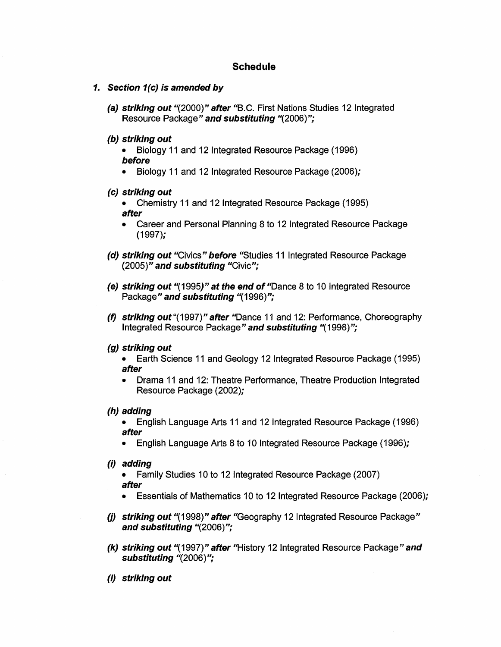# **Schedule**

- **1. Section 1(c) is amended by** 
	- **(a) striking out** *11*(2000)" **after** ''B.C. First Nations Studies 12 Integrated Resource Package" **and substituting** "(2006)";

#### **(b) striking out**

- Biology 11 and 12 Integrated Resource Package (1996) **before**
- Biology 11 and 12 Integrated Resource Package (2006);
- **(c) striking out** 
	- Chemistry 11 and 12 Integrated Resource Package (1995) **after**
	- Career and Personal Planning 8 to 12 Integrated Resource Package (1997);
- **(d) striking out** "Civics" **before** "Studies 11 Integrated Resource Package (2005)" **and substituting** "Civic";
- **(e) striking out** *11(* 1995)" **at the end of** "Dance 8 to 10 Integrated Resource Package'' **and substituting** "(1996)";
- **(f) striking out** "(1997)" **after** "Dance 11 and 12: Performance, Choreography Integrated Resource Package" **and substituting** "(1998)";

#### **(g) striking out**

- Earth Science 11 and Geology 12 Integrated Resource Package (1995) **after**
- Drama 11 and 12: Theatre Performance, Theatre Production Integrated Resource Package (2002);
- **(h) adding**

• English Language Arts 11 and 12 Integrated Resource Package (1996) **after** 

- English Language Arts 8 to 10 Integrated Resource Package (1996);
- **(i) adding**

• Family Studies 10 to 12 Integrated Resource Package (2007) **after** 

- Essentials of Mathematics 10 to 12 Integrated Resource Package (2006);
- **(j) striking out "**(1998)" after "Geography 12 Integrated Resource Package" **and substituting** "(2006)";
- **(k) striking out** "(1997)" **after** "History 12 Integrated Resource Package"and **substituting** "(2006)";
- (I) **striking out**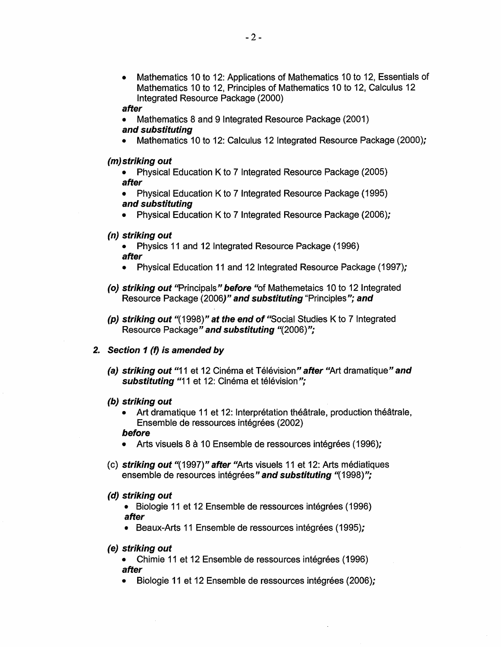• Mathematics 10 to 12: Applications of Mathematics 10 to 12, Essentials of Mathematics 10 to 12, Principles of Mathematics 10 to 12, Calculus 12 Integrated Resource Package (2000)

#### **after**

- Mathematics 8 and 9 Integrated Resource Package (2001) **and substituting**
- Mathematics 10 to 12: Calculus 12 Integrated Resource Package (2000);

#### **(m)striking out**

- Physical Education K to 7 Integrated Resource Package (2005) **after**
- Physical Education K to 7 Integrated Resource Package (1995) **and substituting**
- Physical Education K to 7 Integrated Resource Package (2006);

# **(n) striking out**

- Physics 11 and 12 Integrated Resource Package (1996) **after**
- Physical Education 11 and 12 Integrated Resource Package (1997);
- **(o) striking out** "Principals" **before** "of Mathemetaics 10 to 12 Integrated Resource Package (2006**)" and substituting** "Principles"**; and**
- **(p) striking out** "(1998)" **at the end of** "Social Studies K to? Integrated Resource Package" **and substituting** "(2006)";

# **2. Section 1 (f) is amended by**

**(a) striking out "11 et 12 Cinéma et Télévision" after "Art dramatique" and** substituting "11 et 12: Cinéma et télévision";

# **(b) striking out**

Art dramatique 11 et 12: Interprétation théâtrale, production théâtrale, Ensemble de ressources intégrées (2002)

#### **before**

- Arts visuels 8 à 10 Ensemble de ressources intégrées (1996);
- ( c) **striking out** "( 1997) '' **after** "Arts visuals 11 et 12: Arts mediatiques ensemble de resources intégrées" and substituting "(1998)";

# **(d) striking out**

- Biologie 11 et 12 Ensemble de ressources intégrées (1996) **after**
- Beaux-Arts 11 Ensemble de ressources intégrées (1995);

# **(e) striking out**

- Chimie 11 et 12 Ensemble de ressources intégrées (1996) **after**
- Biologie 11 et 12 Ensemble de ressources intégrées (2006);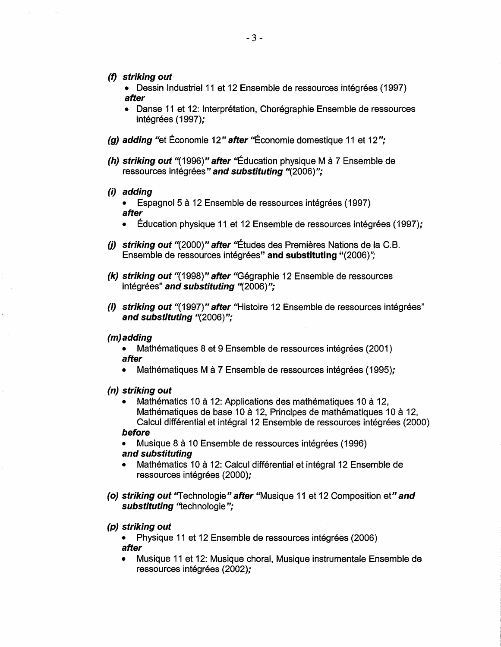- **(f} striking out** 
	- Dessin Industriel 11 et 12 Ensemble de ressources intégrées (1997) **afl:er**
	- Danse 11 et 12: Interprétation, Chorégraphie Ensemble de ressources intégrées (1997);
- **(g) adding** "et Economie 12" **after** ''Economie domestique 11 et 12";
- **(h) striking out "(1996)" after "Éducation physique M à 7 Ensemble de** ressources intégrées" and substituting "(2006)";
- (i) **adding** 
	- Espagnol 5 à 12 Ensemble de ressources intégrées (1997) **after**
	- Education physique 11 et 12 Ensemble de ressources integrees (1997);
- **(j) striking out ''**(2000)" after ''Études des Premières Nations de la C.B. Ensemble de ressources intégrées" and substituting "(2006)";
- **(k) striking out** "(1998)" **after** "Gegraphie 12 Ensemble de ressources intégrées" and substituting "(2006)";
- (/) **striking out** "(1997)" **after** "Histoire 12 Ensemble de ressources integrees" **and substituting** "(2006)";

#### **(m)adding**

Mathématiques 8 et 9 Ensemble de ressources intégrées (2001) **after** 

- Mathématiques M à 7 Ensemble de ressources intégrées (1995);
- **(n) striking out** 
	- Mathématics 10 à 12: Applications des mathématiques 10 à 12, Mathématiques de base 10 à 12, Principes de mathématiques 10 à 12, Calcul différential et intégral 12 Ensemble de ressources intégrées (2000)

#### **before**

Musique 8 à 10 Ensemble de ressources intégrées (1996) **and substituting** 

- Mathématics 10 à 12: Calcul différential et intégral 12 Ensemble de ressources intégrées (2000);
- **(o) striking out** "Technologie" **after** "Musique 11 et 12 Composition et"' **and**  substituting "technologie";

#### **(p) striking out**

Physique 11 et 12 Ensemble de ressources intégrées (2006) **afl:er** 

• Musique 11 et 12: Musique choral, Musique instrumentale Ensemble de ressources intégrées (2002);